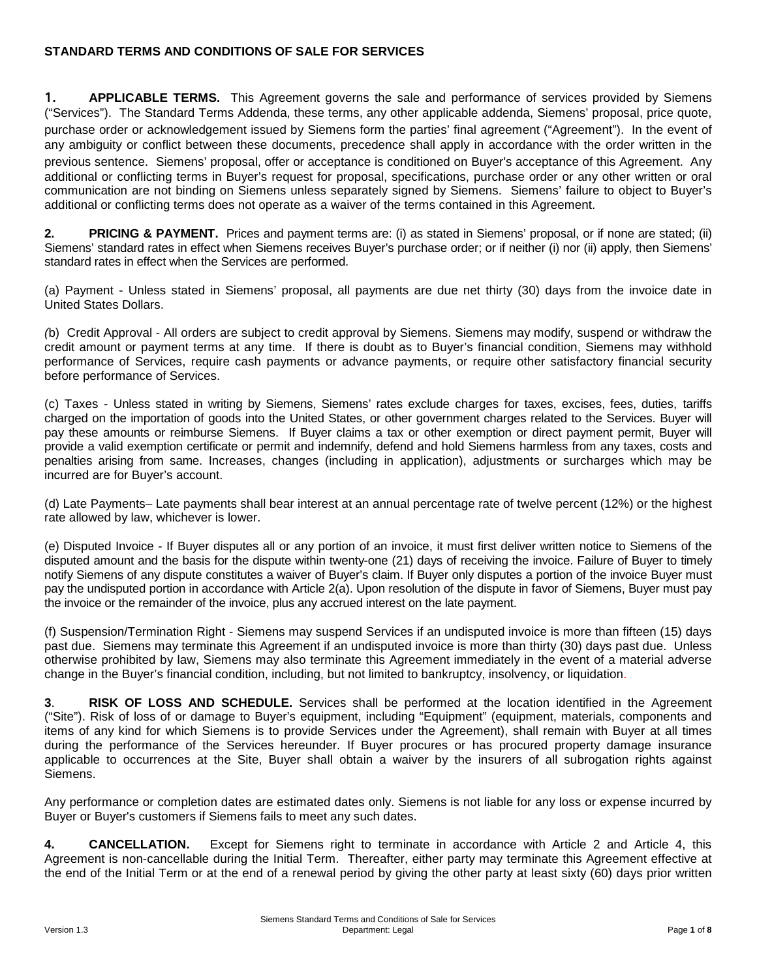### **STANDARD TERMS AND CONDITIONS OF SALE FOR SERVICES**

**1. APPLICABLE TERMS.** This Agreement governs the sale and performance of services provided by Siemens ("Services"). The Standard Terms Addenda, these terms, any other applicable addenda, Siemens' proposal, price quote, purchase order or acknowledgement issued by Siemens form the parties' final agreement ("Agreement"). In the event of any ambiguity or conflict between these documents, precedence shall apply in accordance with the order written in the previous sentence. Siemens' proposal, offer or acceptance is conditioned on Buyer's acceptance of this Agreement. Any additional or conflicting terms in Buyer's request for proposal, specifications, purchase order or any other written or oral communication are not binding on Siemens unless separately signed by Siemens. Siemens' failure to object to Buyer's additional or conflicting terms does not operate as a waiver of the terms contained in this Agreement.

**2. PRICING & PAYMENT.** Prices and payment terms are: (i) as stated in Siemens' proposal, or if none are stated; (ii) Siemens' standard rates in effect when Siemens receives Buyer's purchase order; or if neither (i) nor (ii) apply, then Siemens' standard rates in effect when the Services are performed.

(a) Payment - Unless stated in Siemens' proposal, all payments are due net thirty (30) days from the invoice date in United States Dollars.

*(*b) Credit Approval - All orders are subject to credit approval by Siemens. Siemens may modify, suspend or withdraw the credit amount or payment terms at any time. If there is doubt as to Buyer's financial condition, Siemens may withhold performance of Services, require cash payments or advance payments, or require other satisfactory financial security before performance of Services.

(c) Taxes - Unless stated in writing by Siemens, Siemens' rates exclude charges for taxes, excises, fees, duties, tariffs charged on the importation of goods into the United States, or other government charges related to the Services. Buyer will pay these amounts or reimburse Siemens. If Buyer claims a tax or other exemption or direct payment permit, Buyer will provide a valid exemption certificate or permit and indemnify, defend and hold Siemens harmless from any taxes, costs and penalties arising from same. Increases, changes (including in application), adjustments or surcharges which may be incurred are for Buyer's account.

(d) Late Payments– Late payments shall bear interest at an annual percentage rate of twelve percent (12%) or the highest rate allowed by law, whichever is lower.

(e) Disputed Invoice - If Buyer disputes all or any portion of an invoice, it must first deliver written notice to Siemens of the disputed amount and the basis for the dispute within twenty-one (21) days of receiving the invoice. Failure of Buyer to timely notify Siemens of any dispute constitutes a waiver of Buyer's claim. If Buyer only disputes a portion of the invoice Buyer must pay the undisputed portion in accordance with Article 2(a). Upon resolution of the dispute in favor of Siemens, Buyer must pay the invoice or the remainder of the invoice, plus any accrued interest on the late payment.

(f) Suspension/Termination Right - Siemens may suspend Services if an undisputed invoice is more than fifteen (15) days past due. Siemens may terminate this Agreement if an undisputed invoice is more than thirty (30) days past due. Unless otherwise prohibited by law, Siemens may also terminate this Agreement immediately in the event of a material adverse change in the Buyer's financial condition, including, but not limited to bankruptcy, insolvency, or liquidation.

**3**. **RISK OF LOSS AND SCHEDULE.** Services shall be performed at the location identified in the Agreement ("Site"). Risk of loss of or damage to Buyer's equipment, including "Equipment" (equipment, materials, components and items of any kind for which Siemens is to provide Services under the Agreement), shall remain with Buyer at all times during the performance of the Services hereunder. If Buyer procures or has procured property damage insurance applicable to occurrences at the Site, Buyer shall obtain a waiver by the insurers of all subrogation rights against Siemens.

Any performance or completion dates are estimated dates only. Siemens is not liable for any loss or expense incurred by Buyer or Buyer's customers if Siemens fails to meet any such dates.

**4. CANCELLATION.** Except for Siemens right to terminate in accordance with Article 2 and Article 4, this Agreement is non-cancellable during the Initial Term. Thereafter, either party may terminate this Agreement effective at the end of the Initial Term or at the end of a renewal period by giving the other party at least sixty (60) days prior written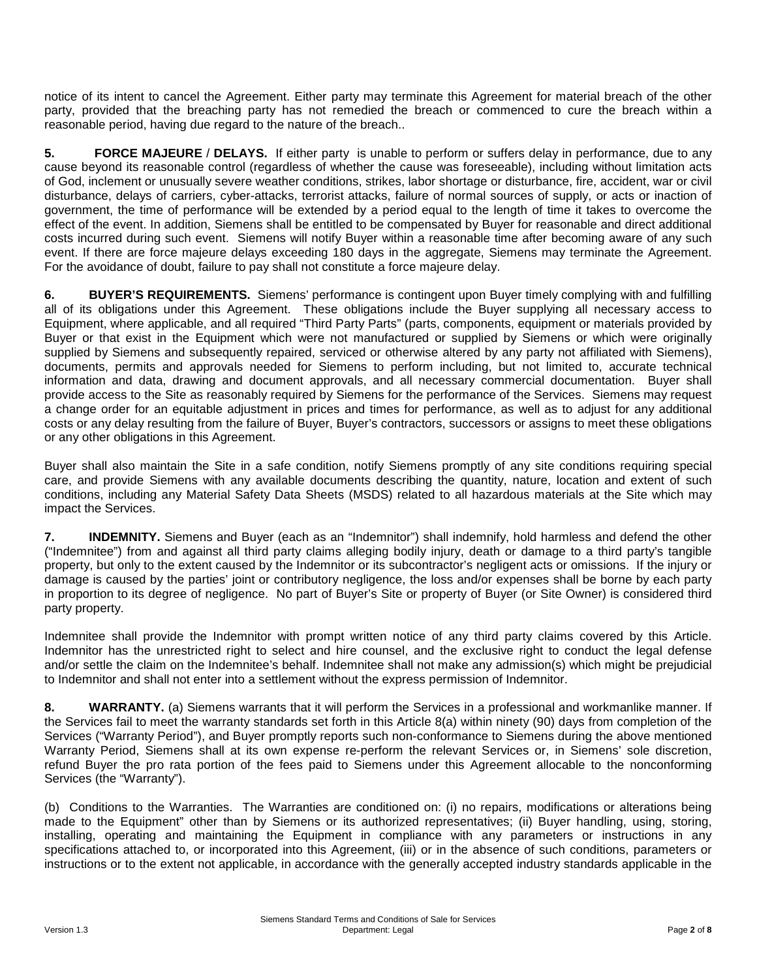notice of its intent to cancel the Agreement. Either party may terminate this Agreement for material breach of the other party, provided that the breaching party has not remedied the breach or commenced to cure the breach within a reasonable period, having due regard to the nature of the breach..

**5. FORCE MAJEURE** / **DELAYS.** If either party is unable to perform or suffers delay in performance, due to any cause beyond its reasonable control (regardless of whether the cause was foreseeable), including without limitation acts of God, inclement or unusually severe weather conditions, strikes, labor shortage or disturbance, fire, accident, war or civil disturbance, delays of carriers, cyber-attacks, terrorist attacks, failure of normal sources of supply, or acts or inaction of government, the time of performance will be extended by a period equal to the length of time it takes to overcome the effect of the event. In addition, Siemens shall be entitled to be compensated by Buyer for reasonable and direct additional costs incurred during such event. Siemens will notify Buyer within a reasonable time after becoming aware of any such event. If there are force majeure delays exceeding 180 days in the aggregate, Siemens may terminate the Agreement. For the avoidance of doubt, failure to pay shall not constitute a force majeure delay.

**6. BUYER'S REQUIREMENTS.** Siemens' performance is contingent upon Buyer timely complying with and fulfilling all of its obligations under this Agreement. These obligations include the Buyer supplying all necessary access to Equipment, where applicable, and all required "Third Party Parts" (parts, components, equipment or materials provided by Buyer or that exist in the Equipment which were not manufactured or supplied by Siemens or which were originally supplied by Siemens and subsequently repaired, serviced or otherwise altered by any party not affiliated with Siemens), documents, permits and approvals needed for Siemens to perform including, but not limited to, accurate technical information and data, drawing and document approvals, and all necessary commercial documentation. Buyer shall provide access to the Site as reasonably required by Siemens for the performance of the Services. Siemens may request a change order for an equitable adjustment in prices and times for performance, as well as to adjust for any additional costs or any delay resulting from the failure of Buyer, Buyer's contractors, successors or assigns to meet these obligations or any other obligations in this Agreement.

Buyer shall also maintain the Site in a safe condition, notify Siemens promptly of any site conditions requiring special care, and provide Siemens with any available documents describing the quantity, nature, location and extent of such conditions, including any Material Safety Data Sheets (MSDS) related to all hazardous materials at the Site which may impact the Services.

**7. INDEMNITY.** Siemens and Buyer (each as an "Indemnitor") shall indemnify, hold harmless and defend the other ("Indemnitee") from and against all third party claims alleging bodily injury, death or damage to a third party's tangible property, but only to the extent caused by the Indemnitor or its subcontractor's negligent acts or omissions. If the injury or damage is caused by the parties' joint or contributory negligence, the loss and/or expenses shall be borne by each party in proportion to its degree of negligence. No part of Buyer's Site or property of Buyer (or Site Owner) is considered third party property.

Indemnitee shall provide the Indemnitor with prompt written notice of any third party claims covered by this Article. Indemnitor has the unrestricted right to select and hire counsel, and the exclusive right to conduct the legal defense and/or settle the claim on the Indemnitee's behalf. Indemnitee shall not make any admission(s) which might be prejudicial to Indemnitor and shall not enter into a settlement without the express permission of Indemnitor.

**8. WARRANTY.** (a) Siemens warrants that it will perform the Services in a professional and workmanlike manner. If the Services fail to meet the warranty standards set forth in this Article 8(a) within ninety (90) days from completion of the Services ("Warranty Period"), and Buyer promptly reports such non-conformance to Siemens during the above mentioned Warranty Period, Siemens shall at its own expense re-perform the relevant Services or, in Siemens' sole discretion, refund Buyer the pro rata portion of the fees paid to Siemens under this Agreement allocable to the nonconforming Services (the "Warranty").

(b) Conditions to the Warranties. The Warranties are conditioned on: (i) no repairs, modifications or alterations being made to the Equipment" other than by Siemens or its authorized representatives; (ii) Buyer handling, using, storing, installing, operating and maintaining the Equipment in compliance with any parameters or instructions in any specifications attached to, or incorporated into this Agreement, (iii) or in the absence of such conditions, parameters or instructions or to the extent not applicable, in accordance with the generally accepted industry standards applicable in the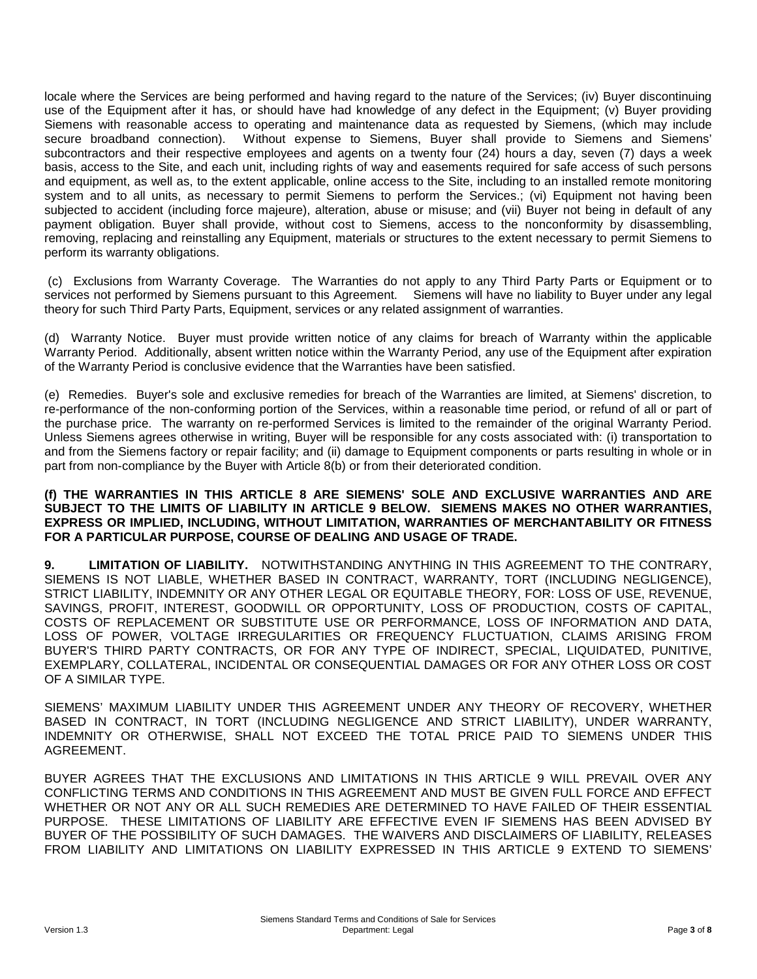locale where the Services are being performed and having regard to the nature of the Services; (iv) Buyer discontinuing use of the Equipment after it has, or should have had knowledge of any defect in the Equipment; (v) Buyer providing Siemens with reasonable access to operating and maintenance data as requested by Siemens, (which may include secure broadband connection). Without expense to Siemens, Buyer shall provide to Siemens and Siemens' subcontractors and their respective employees and agents on a twenty four (24) hours a day, seven (7) days a week basis, access to the Site, and each unit, including rights of way and easements required for safe access of such persons and equipment, as well as, to the extent applicable, online access to the Site, including to an installed remote monitoring system and to all units, as necessary to permit Siemens to perform the Services.; (vi) Equipment not having been subjected to accident (including force majeure), alteration, abuse or misuse; and (vii) Buyer not being in default of any payment obligation. Buyer shall provide, without cost to Siemens, access to the nonconformity by disassembling, removing, replacing and reinstalling any Equipment, materials or structures to the extent necessary to permit Siemens to perform its warranty obligations.

(c) Exclusions from Warranty Coverage. The Warranties do not apply to any Third Party Parts or Equipment or to services not performed by Siemens pursuant to this Agreement. Siemens will have no liability to Buyer under any legal theory for such Third Party Parts, Equipment, services or any related assignment of warranties.

(d) Warranty Notice. Buyer must provide written notice of any claims for breach of Warranty within the applicable Warranty Period. Additionally, absent written notice within the Warranty Period, any use of the Equipment after expiration of the Warranty Period is conclusive evidence that the Warranties have been satisfied.

(e) Remedies.Buyer's sole and exclusive remedies for breach of the Warranties are limited, at Siemens' discretion, to re-performance of the non-conforming portion of the Services, within a reasonable time period, or refund of all or part of the purchase price. The warranty on re-performed Services is limited to the remainder of the original Warranty Period. Unless Siemens agrees otherwise in writing, Buyer will be responsible for any costs associated with: (i) transportation to and from the Siemens factory or repair facility; and (ii) damage to Equipment components or parts resulting in whole or in part from non-compliance by the Buyer with Article 8(b) or from their deteriorated condition.

#### **(f) THE WARRANTIES IN THIS ARTICLE 8 ARE SIEMENS' SOLE AND EXCLUSIVE WARRANTIES AND ARE SUBJECT TO THE LIMITS OF LIABILITY IN ARTICLE 9 BELOW. SIEMENS MAKES NO OTHER WARRANTIES, EXPRESS OR IMPLIED, INCLUDING, WITHOUT LIMITATION, WARRANTIES OF MERCHANTABILITY OR FITNESS FOR A PARTICULAR PURPOSE, COURSE OF DEALING AND USAGE OF TRADE.**

**9. LIMITATION OF LIABILITY.** NOTWITHSTANDING ANYTHING IN THIS AGREEMENT TO THE CONTRARY, SIEMENS IS NOT LIABLE, WHETHER BASED IN CONTRACT, WARRANTY, TORT (INCLUDING NEGLIGENCE), STRICT LIABILITY, INDEMNITY OR ANY OTHER LEGAL OR EQUITABLE THEORY, FOR: LOSS OF USE, REVENUE, SAVINGS, PROFIT, INTEREST, GOODWILL OR OPPORTUNITY, LOSS OF PRODUCTION, COSTS OF CAPITAL, COSTS OF REPLACEMENT OR SUBSTITUTE USE OR PERFORMANCE, LOSS OF INFORMATION AND DATA, LOSS OF POWER, VOLTAGE IRREGULARITIES OR FREQUENCY FLUCTUATION, CLAIMS ARISING FROM BUYER'S THIRD PARTY CONTRACTS, OR FOR ANY TYPE OF INDIRECT, SPECIAL, LIQUIDATED, PUNITIVE, EXEMPLARY, COLLATERAL, INCIDENTAL OR CONSEQUENTIAL DAMAGES OR FOR ANY OTHER LOSS OR COST OF A SIMILAR TYPE.

SIEMENS' MAXIMUM LIABILITY UNDER THIS AGREEMENT UNDER ANY THEORY OF RECOVERY, WHETHER BASED IN CONTRACT, IN TORT (INCLUDING NEGLIGENCE AND STRICT LIABILITY), UNDER WARRANTY, INDEMNITY OR OTHERWISE, SHALL NOT EXCEED THE TOTAL PRICE PAID TO SIEMENS UNDER THIS AGREEMENT.

BUYER AGREES THAT THE EXCLUSIONS AND LIMITATIONS IN THIS ARTICLE 9 WILL PREVAIL OVER ANY CONFLICTING TERMS AND CONDITIONS IN THIS AGREEMENT AND MUST BE GIVEN FULL FORCE AND EFFECT WHETHER OR NOT ANY OR ALL SUCH REMEDIES ARE DETERMINED TO HAVE FAILED OF THEIR ESSENTIAL PURPOSE. THESE LIMITATIONS OF LIABILITY ARE EFFECTIVE EVEN IF SIEMENS HAS BEEN ADVISED BY BUYER OF THE POSSIBILITY OF SUCH DAMAGES. THE WAIVERS AND DISCLAIMERS OF LIABILITY, RELEASES FROM LIABILITY AND LIMITATIONS ON LIABILITY EXPRESSED IN THIS ARTICLE 9 EXTEND TO SIEMENS'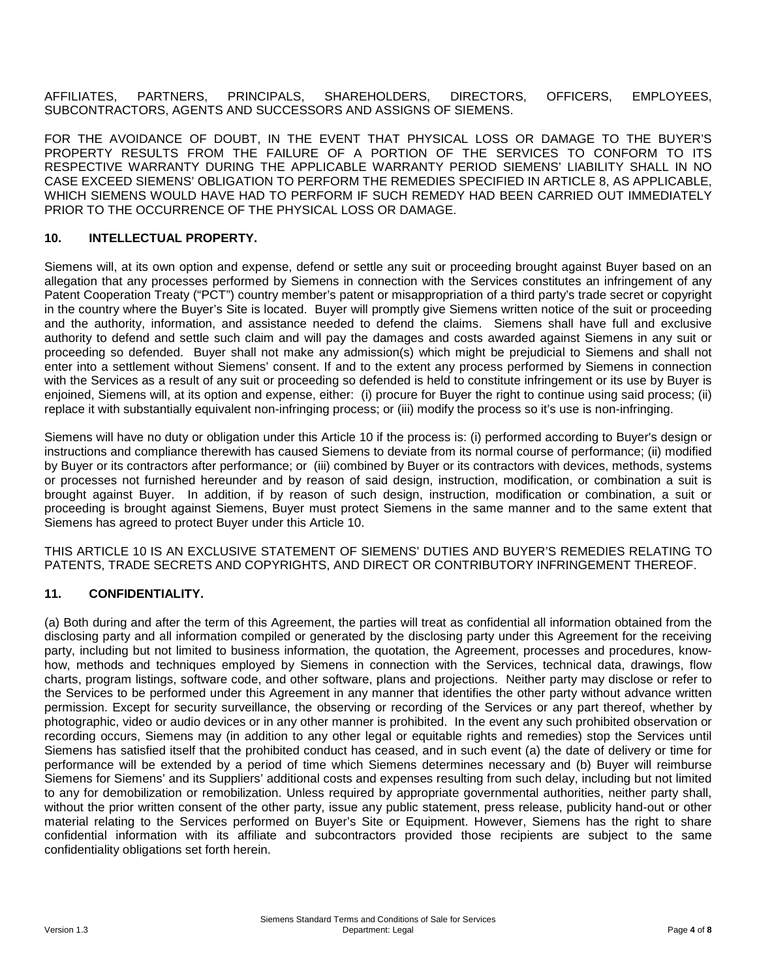AFFILIATES, PARTNERS, PRINCIPALS, SHAREHOLDERS, DIRECTORS, OFFICERS, EMPLOYEES, SUBCONTRACTORS, AGENTS AND SUCCESSORS AND ASSIGNS OF SIEMENS.

FOR THE AVOIDANCE OF DOUBT, IN THE EVENT THAT PHYSICAL LOSS OR DAMAGE TO THE BUYER'S PROPERTY RESULTS FROM THE FAILURE OF A PORTION OF THE SERVICES TO CONFORM TO ITS RESPECTIVE WARRANTY DURING THE APPLICABLE WARRANTY PERIOD SIEMENS' LIABILITY SHALL IN NO CASE EXCEED SIEMENS' OBLIGATION TO PERFORM THE REMEDIES SPECIFIED IN ARTICLE 8, AS APPLICABLE, WHICH SIEMENS WOULD HAVE HAD TO PERFORM IF SUCH REMEDY HAD BEEN CARRIED OUT IMMEDIATELY PRIOR TO THE OCCURRENCE OF THE PHYSICAL LOSS OR DAMAGE.

### **10. INTELLECTUAL PROPERTY.**

Siemens will, at its own option and expense, defend or settle any suit or proceeding brought against Buyer based on an allegation that any processes performed by Siemens in connection with the Services constitutes an infringement of any Patent Cooperation Treaty ("PCT") country member's patent or misappropriation of a third party's trade secret or copyright in the country where the Buyer's Site is located. Buyer will promptly give Siemens written notice of the suit or proceeding and the authority, information, and assistance needed to defend the claims. Siemens shall have full and exclusive authority to defend and settle such claim and will pay the damages and costs awarded against Siemens in any suit or proceeding so defended. Buyer shall not make any admission(s) which might be prejudicial to Siemens and shall not enter into a settlement without Siemens' consent. If and to the extent any process performed by Siemens in connection with the Services as a result of any suit or proceeding so defended is held to constitute infringement or its use by Buyer is enjoined, Siemens will, at its option and expense, either: (i) procure for Buyer the right to continue using said process; (ii) replace it with substantially equivalent non-infringing process; or (iii) modify the process so it's use is non-infringing.

Siemens will have no duty or obligation under this Article 10 if the process is: (i) performed according to Buyer's design or instructions and compliance therewith has caused Siemens to deviate from its normal course of performance; (ii) modified by Buyer or its contractors after performance; or (iii) combined by Buyer or its contractors with devices, methods, systems or processes not furnished hereunder and by reason of said design, instruction, modification, or combination a suit is brought against Buyer. In addition, if by reason of such design, instruction, modification or combination, a suit or proceeding is brought against Siemens, Buyer must protect Siemens in the same manner and to the same extent that Siemens has agreed to protect Buyer under this Article 10.

THIS ARTICLE 10 IS AN EXCLUSIVE STATEMENT OF SIEMENS' DUTIES AND BUYER'S REMEDIES RELATING TO PATENTS, TRADE SECRETS AND COPYRIGHTS, AND DIRECT OR CONTRIBUTORY INFRINGEMENT THEREOF.

### **11. CONFIDENTIALITY.**

(a) Both during and after the term of this Agreement, the parties will treat as confidential all information obtained from the disclosing party and all information compiled or generated by the disclosing party under this Agreement for the receiving party, including but not limited to business information, the quotation, the Agreement, processes and procedures, knowhow, methods and techniques employed by Siemens in connection with the Services, technical data, drawings, flow charts, program listings, software code, and other software, plans and projections. Neither party may disclose or refer to the Services to be performed under this Agreement in any manner that identifies the other party without advance written permission. Except for security surveillance, the observing or recording of the Services or any part thereof, whether by photographic, video or audio devices or in any other manner is prohibited. In the event any such prohibited observation or recording occurs, Siemens may (in addition to any other legal or equitable rights and remedies) stop the Services until Siemens has satisfied itself that the prohibited conduct has ceased, and in such event (a) the date of delivery or time for performance will be extended by a period of time which Siemens determines necessary and (b) Buyer will reimburse Siemens for Siemens' and its Suppliers' additional costs and expenses resulting from such delay, including but not limited to any for demobilization or remobilization. Unless required by appropriate governmental authorities, neither party shall, without the prior written consent of the other party, issue any public statement, press release, publicity hand-out or other material relating to the Services performed on Buyer's Site or Equipment. However, Siemens has the right to share confidential information with its affiliate and subcontractors provided those recipients are subject to the same confidentiality obligations set forth herein.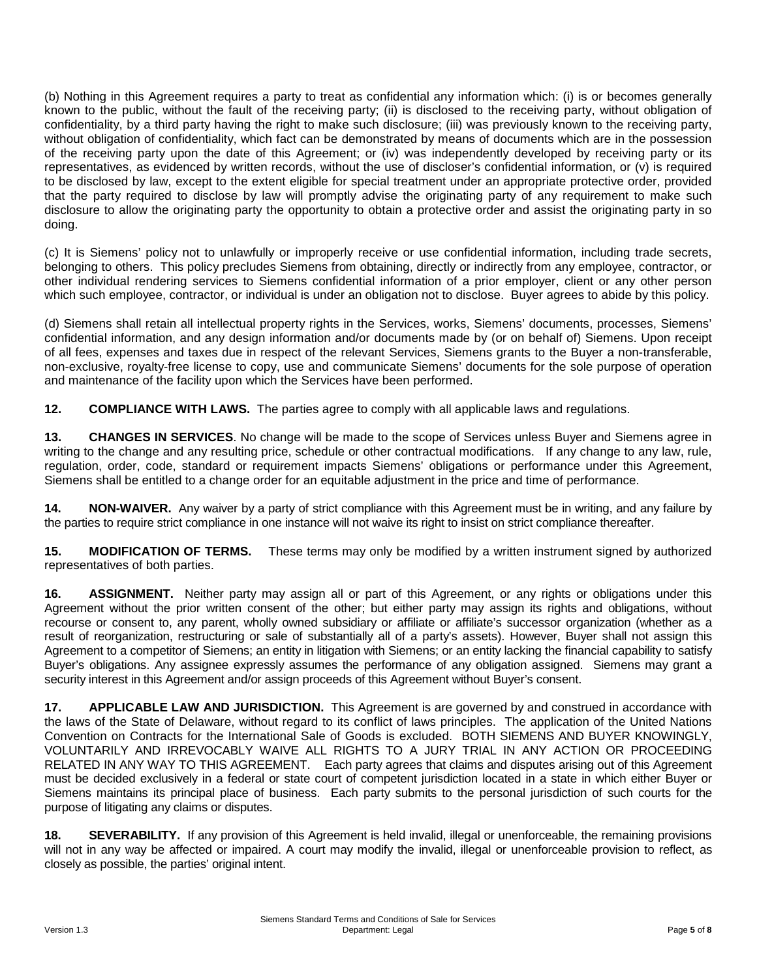(b) Nothing in this Agreement requires a party to treat as confidential any information which: (i) is or becomes generally known to the public, without the fault of the receiving party; (ii) is disclosed to the receiving party, without obligation of confidentiality, by a third party having the right to make such disclosure; (iii) was previously known to the receiving party, without obligation of confidentiality, which fact can be demonstrated by means of documents which are in the possession of the receiving party upon the date of this Agreement; or (iv) was independently developed by receiving party or its representatives, as evidenced by written records, without the use of discloser's confidential information, or (v) is required to be disclosed by law, except to the extent eligible for special treatment under an appropriate protective order, provided that the party required to disclose by law will promptly advise the originating party of any requirement to make such disclosure to allow the originating party the opportunity to obtain a protective order and assist the originating party in so doing.

(c) It is Siemens' policy not to unlawfully or improperly receive or use confidential information, including trade secrets, belonging to others. This policy precludes Siemens from obtaining, directly or indirectly from any employee, contractor, or other individual rendering services to Siemens confidential information of a prior employer, client or any other person which such employee, contractor, or individual is under an obligation not to disclose. Buyer agrees to abide by this policy.

(d) Siemens shall retain all intellectual property rights in the Services, works, Siemens' documents, processes, Siemens' confidential information, and any design information and/or documents made by (or on behalf of) Siemens. Upon receipt of all fees, expenses and taxes due in respect of the relevant Services, Siemens grants to the Buyer a non-transferable, non-exclusive, royalty-free license to copy, use and communicate Siemens' documents for the sole purpose of operation and maintenance of the facility upon which the Services have been performed.

**12. COMPLIANCE WITH LAWS.** The parties agree to comply with all applicable laws and regulations.

**13. CHANGES IN SERVICES**. No change will be made to the scope of Services unless Buyer and Siemens agree in writing to the change and any resulting price, schedule or other contractual modifications. If any change to any law, rule, regulation, order, code, standard or requirement impacts Siemens' obligations or performance under this Agreement, Siemens shall be entitled to a change order for an equitable adjustment in the price and time of performance.

**14. NON-WAIVER.** Any waiver by a party of strict compliance with this Agreement must be in writing, and any failure by the parties to require strict compliance in one instance will not waive its right to insist on strict compliance thereafter.

**15. MODIFICATION OF TERMS.** These terms may only be modified by a written instrument signed by authorized representatives of both parties.

**16. ASSIGNMENT.** Neither party may assign all or part of this Agreement, or any rights or obligations under this Agreement without the prior written consent of the other; but either party may assign its rights and obligations, without recourse or consent to, any parent, wholly owned subsidiary or affiliate or affiliate's successor organization (whether as a result of reorganization, restructuring or sale of substantially all of a party's assets). However, Buyer shall not assign this Agreement to a competitor of Siemens; an entity in litigation with Siemens; or an entity lacking the financial capability to satisfy Buyer's obligations. Any assignee expressly assumes the performance of any obligation assigned. Siemens may grant a security interest in this Agreement and/or assign proceeds of this Agreement without Buyer's consent.

**17. APPLICABLE LAW AND JURISDICTION.** This Agreement is are governed by and construed in accordance with the laws of the State of Delaware, without regard to its conflict of laws principles. The application of the United Nations Convention on Contracts for the International Sale of Goods is excluded. BOTH SIEMENS AND BUYER KNOWINGLY, VOLUNTARILY AND IRREVOCABLY WAIVE ALL RIGHTS TO A JURY TRIAL IN ANY ACTION OR PROCEEDING RELATED IN ANY WAY TO THIS AGREEMENT. Each party agrees that claims and disputes arising out of this Agreement must be decided exclusively in a federal or state court of competent jurisdiction located in a state in which either Buyer or Siemens maintains its principal place of business. Each party submits to the personal jurisdiction of such courts for the purpose of litigating any claims or disputes.

**18. SEVERABILITY.** If any provision of this Agreement is held invalid, illegal or unenforceable, the remaining provisions will not in any way be affected or impaired. A court may modify the invalid, illegal or unenforceable provision to reflect, as closely as possible, the parties' original intent.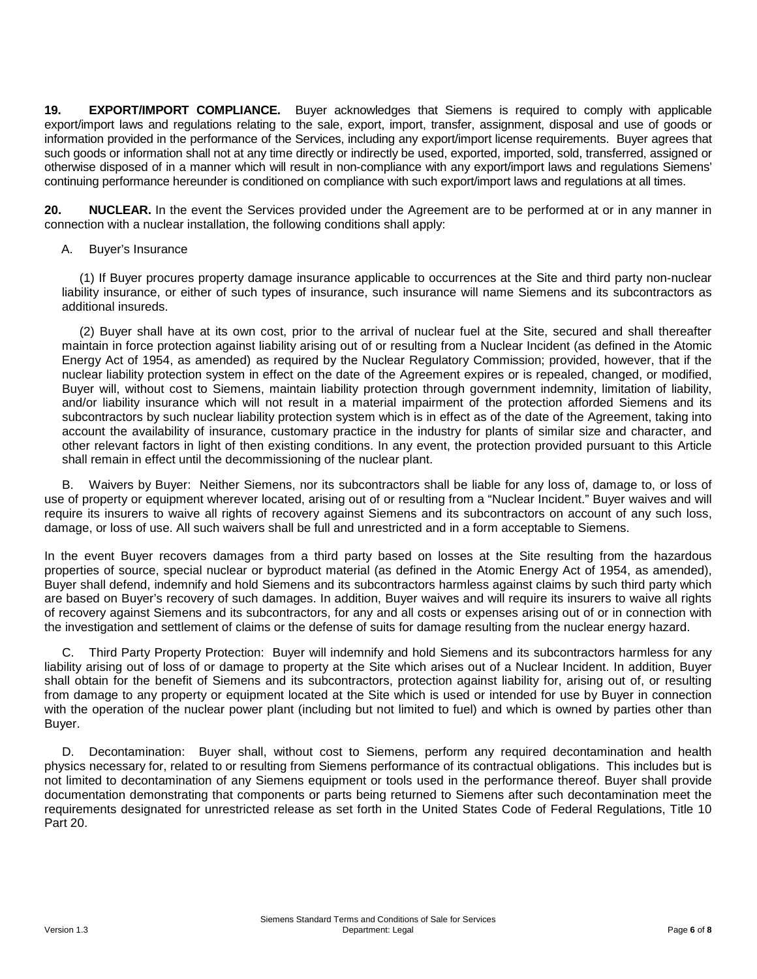**19. EXPORT/IMPORT COMPLIANCE.** Buyer acknowledges that Siemens is required to comply with applicable export/import laws and regulations relating to the sale, export, import, transfer, assignment, disposal and use of goods or information provided in the performance of the Services, including any export/import license requirements. Buyer agrees that such goods or information shall not at any time directly or indirectly be used, exported, imported, sold, transferred, assigned or otherwise disposed of in a manner which will result in non-compliance with any export/import laws and regulations Siemens' continuing performance hereunder is conditioned on compliance with such export/import laws and regulations at all times.

**20. NUCLEAR.** In the event the Services provided under the Agreement are to be performed at or in any manner in connection with a nuclear installation, the following conditions shall apply:

#### A. Buyer's Insurance

(1) If Buyer procures property damage insurance applicable to occurrences at the Site and third party non-nuclear liability insurance, or either of such types of insurance, such insurance will name Siemens and its subcontractors as additional insureds.

(2) Buyer shall have at its own cost, prior to the arrival of nuclear fuel at the Site, secured and shall thereafter maintain in force protection against liability arising out of or resulting from a Nuclear Incident (as defined in the Atomic Energy Act of 1954, as amended) as required by the Nuclear Regulatory Commission; provided, however, that if the nuclear liability protection system in effect on the date of the Agreement expires or is repealed, changed, or modified, Buyer will, without cost to Siemens, maintain liability protection through government indemnity, limitation of liability, and/or liability insurance which will not result in a material impairment of the protection afforded Siemens and its subcontractors by such nuclear liability protection system which is in effect as of the date of the Agreement, taking into account the availability of insurance, customary practice in the industry for plants of similar size and character, and other relevant factors in light of then existing conditions. In any event, the protection provided pursuant to this Article shall remain in effect until the decommissioning of the nuclear plant.

B. Waivers by Buyer: Neither Siemens, nor its subcontractors shall be liable for any loss of, damage to, or loss of use of property or equipment wherever located, arising out of or resulting from a "Nuclear Incident." Buyer waives and will require its insurers to waive all rights of recovery against Siemens and its subcontractors on account of any such loss, damage, or loss of use. All such waivers shall be full and unrestricted and in a form acceptable to Siemens.

In the event Buyer recovers damages from a third party based on losses at the Site resulting from the hazardous properties of source, special nuclear or byproduct material (as defined in the Atomic Energy Act of 1954, as amended), Buyer shall defend, indemnify and hold Siemens and its subcontractors harmless against claims by such third party which are based on Buyer's recovery of such damages. In addition, Buyer waives and will require its insurers to waive all rights of recovery against Siemens and its subcontractors, for any and all costs or expenses arising out of or in connection with the investigation and settlement of claims or the defense of suits for damage resulting from the nuclear energy hazard.

C. Third Party Property Protection: Buyer will indemnify and hold Siemens and its subcontractors harmless for any liability arising out of loss of or damage to property at the Site which arises out of a Nuclear Incident. In addition, Buyer shall obtain for the benefit of Siemens and its subcontractors, protection against liability for, arising out of, or resulting from damage to any property or equipment located at the Site which is used or intended for use by Buyer in connection with the operation of the nuclear power plant (including but not limited to fuel) and which is owned by parties other than Buyer.

D. Decontamination: Buyer shall, without cost to Siemens, perform any required decontamination and health physics necessary for, related to or resulting from Siemens performance of its contractual obligations. This includes but is not limited to decontamination of any Siemens equipment or tools used in the performance thereof. Buyer shall provide documentation demonstrating that components or parts being returned to Siemens after such decontamination meet the requirements designated for unrestricted release as set forth in the United States Code of Federal Regulations, Title 10 Part 20.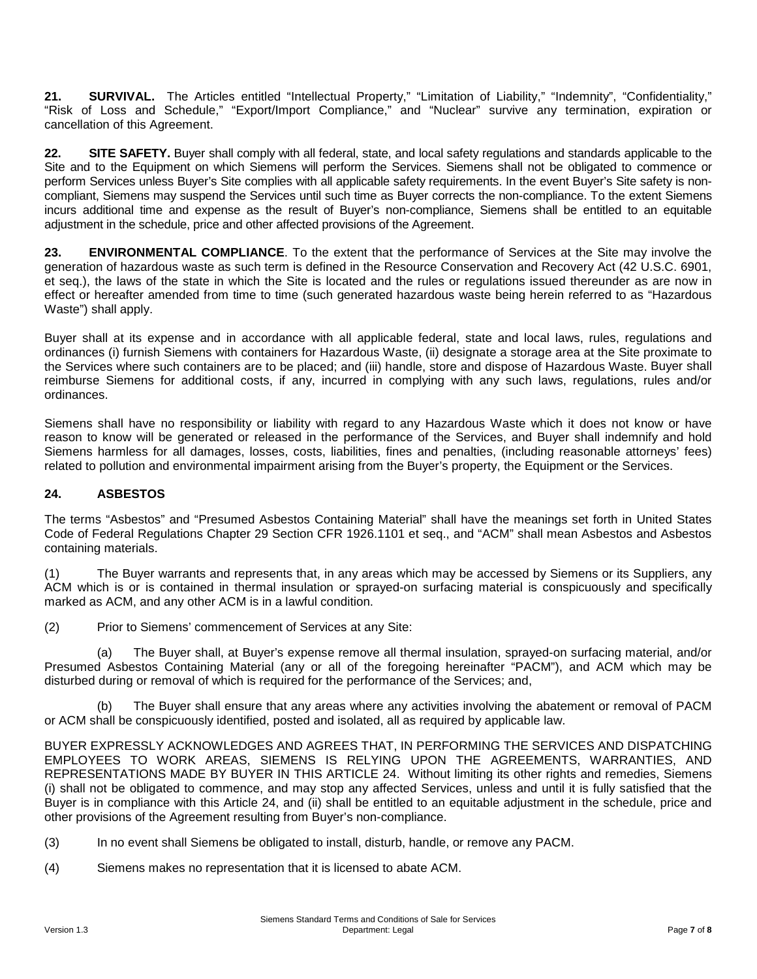21. **SURVIVAL.** The Articles entitled "Intellectual Property," "Limitation of Liability," "Indemnity", "Confidentiality," "Risk of Loss and Schedule," "Export/Import Compliance," and "Nuclear" survive any termination, expiration or cancellation of this Agreement.

**22. SITE SAFETY.** Buyer shall comply with all federal, state, and local safety regulations and standards applicable to the Site and to the Equipment on which Siemens will perform the Services. Siemens shall not be obligated to commence or perform Services unless Buyer's Site complies with all applicable safety requirements. In the event Buyer's Site safety is noncompliant, Siemens may suspend the Services until such time as Buyer corrects the non-compliance. To the extent Siemens incurs additional time and expense as the result of Buyer's non-compliance, Siemens shall be entitled to an equitable adjustment in the schedule, price and other affected provisions of the Agreement.

**23. ENVIRONMENTAL COMPLIANCE**. To the extent that the performance of Services at the Site may involve the generation of hazardous waste as such term is defined in the Resource Conservation and Recovery Act (42 U.S.C. 6901, et seq.), the laws of the state in which the Site is located and the rules or regulations issued thereunder as are now in effect or hereafter amended from time to time (such generated hazardous waste being herein referred to as "Hazardous Waste") shall apply.

Buyer shall at its expense and in accordance with all applicable federal, state and local laws, rules, regulations and ordinances (i) furnish Siemens with containers for Hazardous Waste, (ii) designate a storage area at the Site proximate to the Services where such containers are to be placed; and (iii) handle, store and dispose of Hazardous Waste. Buyer shall reimburse Siemens for additional costs, if any, incurred in complying with any such laws, regulations, rules and/or ordinances.

Siemens shall have no responsibility or liability with regard to any Hazardous Waste which it does not know or have reason to know will be generated or released in the performance of the Services, and Buyer shall indemnify and hold Siemens harmless for all damages, losses, costs, liabilities, fines and penalties, (including reasonable attorneys' fees) related to pollution and environmental impairment arising from the Buyer's property, the Equipment or the Services.

# **24. ASBESTOS**

The terms "Asbestos" and "Presumed Asbestos Containing Material" shall have the meanings set forth in United States Code of Federal Regulations Chapter 29 Section CFR 1926.1101 et seq., and "ACM" shall mean Asbestos and Asbestos containing materials.

(1) The Buyer warrants and represents that, in any areas which may be accessed by Siemens or its Suppliers, any ACM which is or is contained in thermal insulation or sprayed-on surfacing material is conspicuously and specifically marked as ACM, and any other ACM is in a lawful condition.

(2) Prior to Siemens' commencement of Services at any Site:

(a) The Buyer shall, at Buyer's expense remove all thermal insulation, sprayed-on surfacing material, and/or Presumed Asbestos Containing Material (any or all of the foregoing hereinafter "PACM"), and ACM which may be disturbed during or removal of which is required for the performance of the Services; and,

(b) The Buyer shall ensure that any areas where any activities involving the abatement or removal of PACM or ACM shall be conspicuously identified, posted and isolated, all as required by applicable law.

BUYER EXPRESSLY ACKNOWLEDGES AND AGREES THAT, IN PERFORMING THE SERVICES AND DISPATCHING EMPLOYEES TO WORK AREAS, SIEMENS IS RELYING UPON THE AGREEMENTS, WARRANTIES, AND REPRESENTATIONS MADE BY BUYER IN THIS ARTICLE 24. Without limiting its other rights and remedies, Siemens (i) shall not be obligated to commence, and may stop any affected Services, unless and until it is fully satisfied that the Buyer is in compliance with this Article 24, and (ii) shall be entitled to an equitable adjustment in the schedule, price and other provisions of the Agreement resulting from Buyer's non-compliance.

(3) In no event shall Siemens be obligated to install, disturb, handle, or remove any PACM.

(4) Siemens makes no representation that it is licensed to abate ACM.